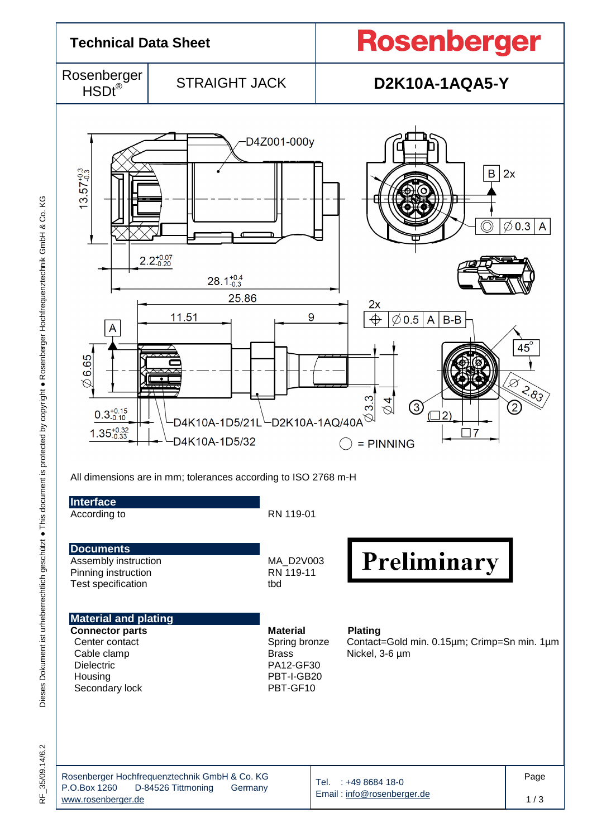

ΚG

RF\_35/09.14/6.2 35/09.14/6.2 눈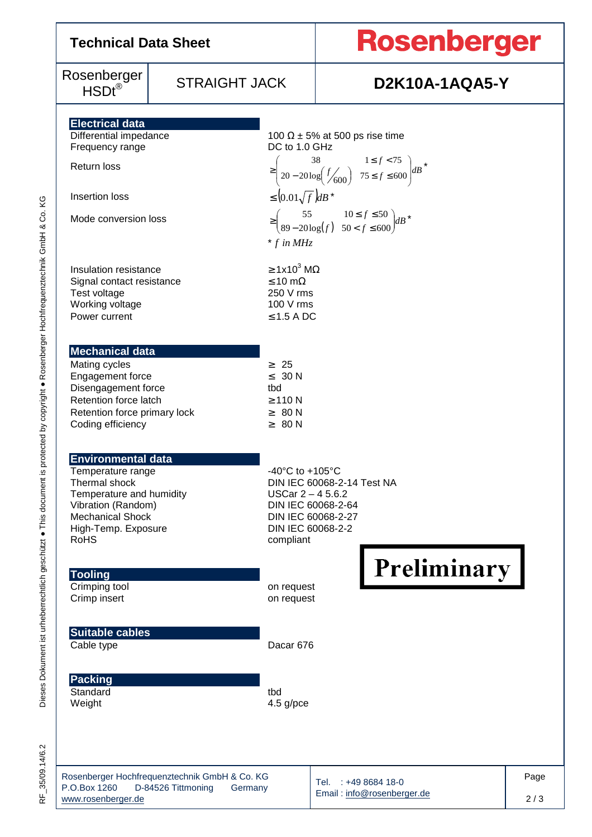| <b>Technical Data Sheet</b>                                                                                                                                                        |                                                                     |                                                                                                                                           | <b>Rosenberger</b>                                                                                                                                                                      |      |  |  |  |  |
|------------------------------------------------------------------------------------------------------------------------------------------------------------------------------------|---------------------------------------------------------------------|-------------------------------------------------------------------------------------------------------------------------------------------|-----------------------------------------------------------------------------------------------------------------------------------------------------------------------------------------|------|--|--|--|--|
| Rosenberger<br>$\mathsf{HSDt}^\circledR$                                                                                                                                           | <b>STRAIGHT JACK</b>                                                |                                                                                                                                           | <b>D2K10A-1AQA5-Y</b>                                                                                                                                                                   |      |  |  |  |  |
| <b>Electrical data</b><br>Differential impedance<br>Frequency range                                                                                                                |                                                                     | DC to 1.0 GHz                                                                                                                             | 100 $\Omega$ ± 5% at 500 ps rise time                                                                                                                                                   |      |  |  |  |  |
| Insertion loss                                                                                                                                                                     | Return loss                                                         |                                                                                                                                           | $\geq \left( \begin{matrix} 38 & 1 \leq f < 75 \\ 20 - 20 \log \left( \frac{f}{600} \right) & 75 \leq f \leq 600 \end{matrix} \right) dB^{*}$<br>$\leq$ $\left(0.01\sqrt{f}\right)dB^*$ |      |  |  |  |  |
| Mode conversion loss                                                                                                                                                               |                                                                     | $\begin{pmatrix} 55 & 10 \le f \le 50 \\ 89 - 20 \log(f) & 50 < f \le 600 \end{pmatrix}$ dB*<br>$*$ f in MHz                              |                                                                                                                                                                                         |      |  |  |  |  |
| Insulation resistance<br>Signal contact resistance<br>Test voltage<br>Working voltage<br>Power current                                                                             |                                                                     | $\geq 1x10^3$ M $\Omega$<br>$\leq 10 \text{ m}\Omega$<br>250 V rms<br>100 V rms<br>$\leq$ 1.5 A DC                                        |                                                                                                                                                                                         |      |  |  |  |  |
| <b>Mechanical data</b><br>Mating cycles<br>Engagement force<br>Disengagement force<br>Retention force latch<br>Retention force primary lock<br>Coding efficiency                   |                                                                     | $\geq 25$<br>$\leq 30 N$<br>tbd<br>$\geq$ 110 N<br>$\geq 80 N$<br>$\geq 80 N$                                                             |                                                                                                                                                                                         |      |  |  |  |  |
| <b>Environmental data</b><br>Temperature range<br>Thermal shock<br>Temperature and humidity<br>Vibration (Random)<br><b>Mechanical Shock</b><br>High-Temp. Exposure<br><b>RoHS</b> |                                                                     | -40 $^{\circ}$ C to +105 $^{\circ}$ C<br>USCar $2 - 45.6.2$<br>DIN IEC 60068-2-64<br>DIN IEC 60068-2-27<br>DIN IEC 60068-2-2<br>compliant | DIN IEC 60068-2-14 Test NA                                                                                                                                                              |      |  |  |  |  |
| <b>Tooling</b><br>Crimping tool<br>Crimp insert                                                                                                                                    |                                                                     | on request<br>on request                                                                                                                  | Preliminary                                                                                                                                                                             |      |  |  |  |  |
| <b>Suitable cables</b><br>Cable type                                                                                                                                               |                                                                     | Dacar 676                                                                                                                                 |                                                                                                                                                                                         |      |  |  |  |  |
| Packing<br>Standard<br>Weight                                                                                                                                                      |                                                                     | tbd<br>4.5 g/pce                                                                                                                          |                                                                                                                                                                                         |      |  |  |  |  |
|                                                                                                                                                                                    | Rosenberger Hochfrequenztechnik GmbH & Co. KG<br>D 04506 Tittmoning |                                                                                                                                           | Tel. : +49 8684 18-0                                                                                                                                                                    | Page |  |  |  |  |

 $\overline{1}$ 

RF\_35/09.14/6.2 RF\_35/09.14/6.2

Email : info@rosenberger.de

2 / 3